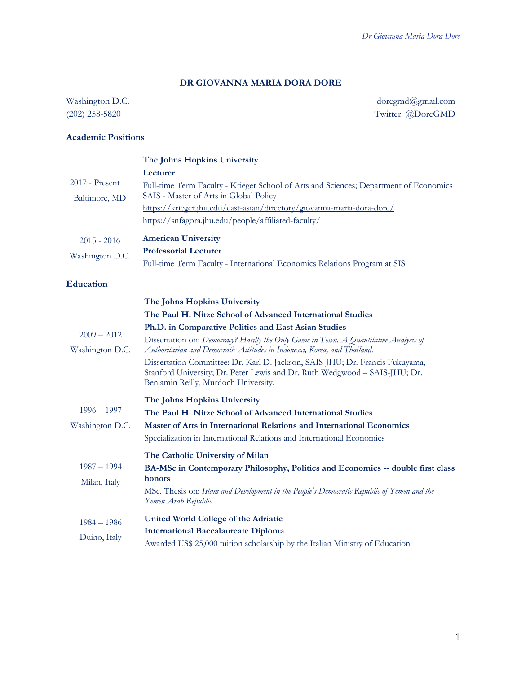# **DR GIOVANNA MARIA DORA DORE**

Washington D.C. (202) 258-5820

doregmd@gmail.com Twitter: @DoreGMD

# **Academic Positions**

| $2017$ - Present<br>Baltimore, MD | The Johns Hopkins University<br>Lecturer<br>Full-time Term Faculty - Krieger School of Arts and Sciences; Department of Economics<br>SAIS - Master of Arts in Global Policy<br>https://krieger.jhu.edu/east-asian/directory/giovanna-maria-dora-dore/<br>https://snfagora.jhu.edu/people/affiliated-faculty/                                                                                                                                                                                                                  |
|-----------------------------------|-------------------------------------------------------------------------------------------------------------------------------------------------------------------------------------------------------------------------------------------------------------------------------------------------------------------------------------------------------------------------------------------------------------------------------------------------------------------------------------------------------------------------------|
| $2015 - 2016$<br>Washington D.C.  | <b>American University</b><br><b>Professorial Lecturer</b><br>Full-time Term Faculty - International Economics Relations Program at SIS                                                                                                                                                                                                                                                                                                                                                                                       |
| <b>Education</b>                  |                                                                                                                                                                                                                                                                                                                                                                                                                                                                                                                               |
| $2009 - 2012$<br>Washington D.C.  | The Johns Hopkins University<br>The Paul H. Nitze School of Advanced International Studies<br>Ph.D. in Comparative Politics and East Asian Studies<br>Dissertation on: Democracy? Hardly the Only Game in Town. A Quantitative Analysis of<br>Authoritarian and Democratic Attitudes in Indonesia, Korea, and Thailand.<br>Dissertation Committee: Dr. Karl D. Jackson, SAIS-JHU; Dr. Francis Fukuyama,<br>Stanford University; Dr. Peter Lewis and Dr. Ruth Wedgwood - SAIS-JHU; Dr.<br>Benjamin Reilly, Murdoch University. |
| $1996 - 1997$<br>Washington D.C.  | The Johns Hopkins University<br>The Paul H. Nitze School of Advanced International Studies<br>Master of Arts in International Relations and International Economics<br>Specialization in International Relations and International Economics<br>The Catholic University of Milan                                                                                                                                                                                                                                              |
| $1987 - 1994$<br>Milan, Italy     | BA-MSc in Contemporary Philosophy, Politics and Economics -- double first class<br>honors<br>MSc. Thesis on: Islam and Development in the People's Democratic Republic of Yemen and the<br>Yemen Arab Republic                                                                                                                                                                                                                                                                                                                |
| $1984 - 1986$<br>Duino, Italy     | United World College of the Adriatic<br><b>International Baccalaureate Diploma</b><br>Awarded US\$ 25,000 tuition scholarship by the Italian Ministry of Education                                                                                                                                                                                                                                                                                                                                                            |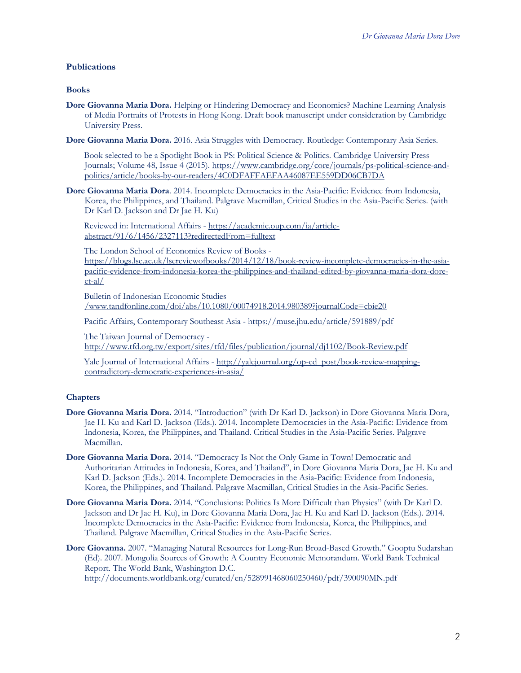### **Publications**

### **Books**

- **Dore Giovanna Maria Dora.** Helping or Hindering Democracy and Economics? Machine Learning Analysis of Media Portraits of Protests in Hong Kong. Draft book manuscript under consideration by Cambridge University Press.
- **Dore Giovanna Maria Dora.** 2016. Asia Struggles with Democracy. Routledge: Contemporary Asia Series.

 Book selected to be a Spotlight Book in PS: Political Science & Politics. Cambridge University Press Journals; Volume 48, Issue 4 (2015). https://www.cambridge.org/core/journals/ps-political-science-andpolitics/article/books-by-our-readers/4C0DFAFFAEFAA46087EE559DD06CB7DA

**Dore Giovanna Maria Dora**. 2014. Incomplete Democracies in the Asia-Pacific: Evidence from Indonesia, Korea, the Philippines, and Thailand. Palgrave Macmillan, Critical Studies in the Asia-Pacific Series. (with Dr Karl D. Jackson and Dr Jae H. Ku)

 Reviewed in: International Affairs - https://academic.oup.com/ia/articleabstract/91/6/1456/2327113?redirectedFrom=fulltext

The London School of Economics Review of Books -

https://blogs.lse.ac.uk/lsereviewofbooks/2014/12/18/book-review-incomplete-democracies-in-the-asiapacific-evidence-from-indonesia-korea-the-philippines-and-thailand-edited-by-giovanna-maria-dora-doreet-al/

 Bulletin of Indonesian Economic Studies /www.tandfonline.com/doi/abs/10.1080/00074918.2014.980389?journalCode=cbie20

Pacific Affairs, Contemporary Southeast Asia - https://muse.jhu.edu/article/591889/pdf

 The Taiwan Journal of Democracy http://www.tfd.org.tw/export/sites/tfd/files/publication/journal/dj1102/Book-Review.pdf

Yale Journal of International Affairs - http://yalejournal.org/op-ed\_post/book-review-mappingcontradictory-democratic-experiences-in-asia/

### **Chapters**

- **Dore Giovanna Maria Dora.** 2014. "Introduction" (with Dr Karl D. Jackson) in Dore Giovanna Maria Dora, Jae H. Ku and Karl D. Jackson (Eds.). 2014. Incomplete Democracies in the Asia-Pacific: Evidence from Indonesia, Korea, the Philippines, and Thailand. Critical Studies in the Asia-Pacific Series. Palgrave Macmillan.
- **Dore Giovanna Maria Dora.** 2014. "Democracy Is Not the Only Game in Town! Democratic and Authoritarian Attitudes in Indonesia, Korea, and Thailand", in Dore Giovanna Maria Dora, Jae H. Ku and Karl D. Jackson (Eds.). 2014. Incomplete Democracies in the Asia-Pacific: Evidence from Indonesia, Korea, the Philippines, and Thailand. Palgrave Macmillan, Critical Studies in the Asia-Pacific Series.
- **Dore Giovanna Maria Dora.** 2014. "Conclusions: Politics Is More Difficult than Physics" (with Dr Karl D. Jackson and Dr Jae H. Ku), in Dore Giovanna Maria Dora, Jae H. Ku and Karl D. Jackson (Eds.). 2014. Incomplete Democracies in the Asia-Pacific: Evidence from Indonesia, Korea, the Philippines, and Thailand. Palgrave Macmillan, Critical Studies in the Asia-Pacific Series.
- **Dore Giovanna.** 2007. "Managing Natural Resources for Long-Run Broad-Based Growth." Gooptu Sudarshan (Ed). 2007. Mongolia Sources of Growth: A Country Economic Memorandum. World Bank Technical Report. The World Bank, Washington D.C.

http://documents.worldbank.org/curated/en/528991468060250460/pdf/390090MN.pdf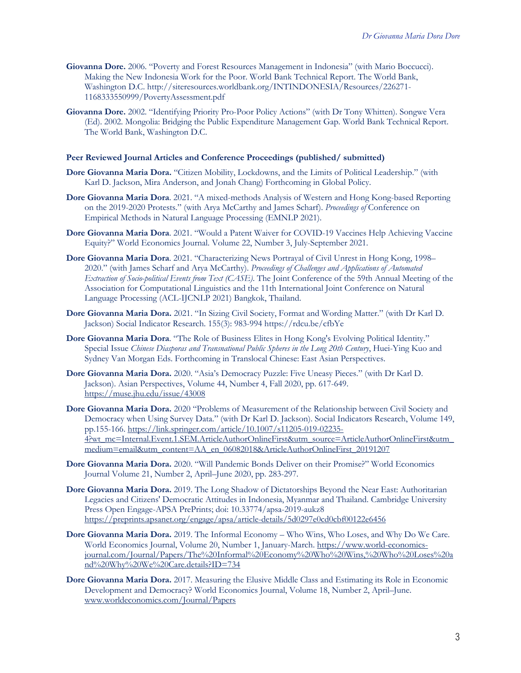- **Giovanna Dore.** 2006. "Poverty and Forest Resources Management in Indonesia" (with Mario Boccucci). Making the New Indonesia Work for the Poor. World Bank Technical Report. The World Bank, Washington D.C. http://siteresources.worldbank.org/INTINDONESIA/Resources/226271-1168333550999/PovertyAssessment.pdf
- **Giovanna Dore.** 2002. "Identifying Priority Pro-Poor Policy Actions" (with Dr Tony Whitten). Songwe Vera (Ed). 2002. Mongolia: Bridging the Public Expenditure Management Gap. World Bank Technical Report. The World Bank, Washington D.C.

#### **Peer Reviewed Journal Articles and Conference Proceedings (published/ submitted)**

- **Dore Giovanna Maria Dora.** "Citizen Mobility, Lockdowns, and the Limits of Political Leadership." (with Karl D. Jackson, Mira Anderson, and Jonah Chang) Forthcoming in Global Policy.
- **Dore Giovanna Maria Dora**. 2021. "A mixed-methods Analysis of Western and Hong Kong-based Reporting on the 2019-2020 Protests." (with Arya McCarthy and James Scharf). *Proceedings of* Conference on Empirical Methods in Natural Language Processing (EMNLP 2021).
- **Dore Giovanna Maria Dora**. 2021. "Would a Patent Waiver for COVID-19 Vaccines Help Achieving Vaccine Equity?" World Economics Journal. Volume 22, Number 3, July-September 2021.
- **Dore Giovanna Maria Dora**. 2021. "Characterizing News Portrayal of Civil Unrest in Hong Kong, 1998– 2020." (with James Scharf and Arya McCarthy). *Proceedings of Challenges and Applications of Automated Extraction of Socio-political Events from Text (CASE)*. The Joint Conference of the 59th Annual Meeting of the Association for Computational Linguistics and the 11th International Joint Conference on Natural Language Processing (ACL-IJCNLP 2021) Bangkok, Thailand.
- **Dore Giovanna Maria Dora.** 2021. "In Sizing Civil Society, Format and Wording Matter." (with Dr Karl D. Jackson) Social Indicator Research. 155(3): 983-994 https://rdcu.be/cfbYe
- **Dore Giovanna Maria Dora**. "The Role of Business Elites in Hong Kong's Evolving Political Identity." Special Issue *Chinese Diasporas and Transnational Public Spheres in the Long 20th Century*, Huei-Ying Kuo and Sydney Van Morgan Eds. Forthcoming in Translocal Chinese: East Asian Perspectives.
- **Dore Giovanna Maria Dora.** 2020. "Asia's Democracy Puzzle: Five Uneasy Pieces." (with Dr Karl D. Jackson). Asian Perspectives, Volume 44, Number 4, Fall 2020, pp. 617-649. https://muse.jhu.edu/issue/43008
- **Dore Giovanna Maria Dora.** 2020 "Problems of Measurement of the Relationship between Civil Society and Democracy when Using Survey Data." (with Dr Karl D. Jackson). Social Indicators Research, Volume 149, pp.155-166. https://link.springer.com/article/10.1007/s11205-019-02235- 4?wt\_mc=Internal.Event.1.SEM.ArticleAuthorOnlineFirst&utm\_source=ArticleAuthorOnlineFirst&utm\_ medium=email&utm\_content=AA\_en\_06082018&ArticleAuthorOnlineFirst\_20191207
- **Dore Giovanna Maria Dora.** 2020. "Will Pandemic Bonds Deliver on their Promise?" World Economics Journal Volume 21, Number 2, April–June 2020, pp. 283-297.
- **Dore Giovanna Maria Dora.** 2019. The Long Shadow of Dictatorships Beyond the Near East: Authoritarian Legacies and Citizens' Democratic Attitudes in Indonesia, Myanmar and Thailand. Cambridge University Press Open Engage-APSA PrePrints; doi: 10.33774/apsa-2019-aukz8 https://preprints.apsanet.org/engage/apsa/article-details/5d0297e0cd0cbf00122e6456
- **Dore Giovanna Maria Dora.** 2019. The Informal Economy Who Wins, Who Loses, and Why Do We Care. World Economics Journal, Volume 20, Number 1, January-March. https://www.world-economicsjournal.com/Journal/Papers/The%20Informal%20Economy%20Who%20Wins,%20Who%20Loses%20a nd%20Why%20We%20Care.details?ID=734
- **Dore Giovanna Maria Dora.** 2017. Measuring the Elusive Middle Class and Estimating its Role in Economic Development and Democracy? World Economics Journal, Volume 18, Number 2, April–June. www.worldeconomics.com/Journal/Papers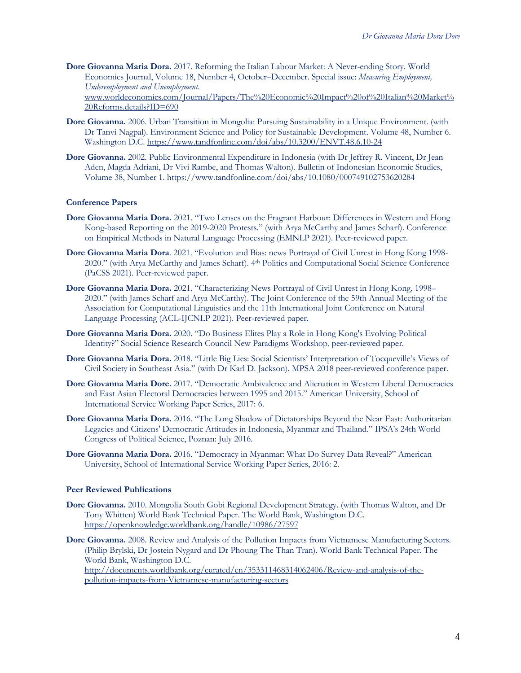**Dore Giovanna Maria Dora.** 2017. Reforming the Italian Labour Market: A Never-ending Story. World Economics Journal, Volume 18, Number 4, October–December. Special issue: *Measuring Employment, Underemployment and Unemployment*.

www.worldeconomics.com/Journal/Papers/The%20Economic%20Impact%20of%20Italian%20Market% 20Reforms.details?ID=690

- **Dore Giovanna.** 2006. Urban Transition in Mongolia: Pursuing Sustainability in a Unique Environment. (with Dr Tanvi Nagpal). Environment Science and Policy for Sustainable Development. Volume 48, Number 6. Washington D.C. https://www.tandfonline.com/doi/abs/10.3200/ENVT.48.6.10-24
- **Dore Giovanna.** 2002. Public Environmental Expenditure in Indonesia (with Dr Jeffrey R. Vincent, Dr Jean Aden, Magda Adriani, Dr Vivi Rambe, and Thomas Walton). Bulletin of Indonesian Economic Studies, Volume 38, Number 1. https://www.tandfonline.com/doi/abs/10.1080/000749102753620284

#### **Conference Papers**

- **Dore Giovanna Maria Dora.** 2021. "Two Lenses on the Fragrant Harbour: Differences in Western and Hong Kong-based Reporting on the 2019-2020 Protests." (with Arya McCarthy and James Scharf). Conference on Empirical Methods in Natural Language Processing (EMNLP 2021). Peer-reviewed paper.
- **Dore Giovanna Maria Dora**. 2021. "Evolution and Bias: news Portrayal of Civil Unrest in Hong Kong 1998- 2020." (with Arya McCarthy and James Scharf). 4th Politics and Computational Social Science Conference (PaCSS 2021). Peer-reviewed paper.
- **Dore Giovanna Maria Dora.** 2021. "Characterizing News Portrayal of Civil Unrest in Hong Kong, 1998– 2020." (with James Scharf and Arya McCarthy). The Joint Conference of the 59th Annual Meeting of the Association for Computational Linguistics and the 11th International Joint Conference on Natural Language Processing (ACL-IJCNLP 2021). Peer-reviewed paper.
- **Dore Giovanna Maria Dora.** 2020. "Do Business Elites Play a Role in Hong Kong's Evolving Political Identity?" Social Science Research Council New Paradigms Workshop, peer-reviewed paper.
- **Dore Giovanna Maria Dora.** 2018. "Little Big Lies: Social Scientists' Interpretation of Tocqueville's Views of Civil Society in Southeast Asia." (with Dr Karl D. Jackson). MPSA 2018 peer-reviewed conference paper.
- **Dore Giovanna Maria Dore.** 2017. "Democratic Ambivalence and Alienation in Western Liberal Democracies and East Asian Electoral Democracies between 1995 and 2015." American University, School of International Service Working Paper Series, 2017: 6.
- **Dore Giovanna Maria Dora.** 2016. "The Long Shadow of Dictatorships Beyond the Near East: Authoritarian Legacies and Citizens' Democratic Attitudes in Indonesia, Myanmar and Thailand." IPSA's 24th World Congress of Political Science, Poznan: July 2016.
- **Dore Giovanna Maria Dora.** 2016. "Democracy in Myanmar: What Do Survey Data Reveal?" American University, School of International Service Working Paper Series, 2016: 2.

#### **Peer Reviewed Publications**

- **Dore Giovanna.** 2010. Mongolia South Gobi Regional Development Strategy. (with Thomas Walton, and Dr Tony Whitten) World Bank Technical Paper. The World Bank, Washington D.C. https://openknowledge.worldbank.org/handle/10986/27597
- **Dore Giovanna.** 2008. Review and Analysis of the Pollution Impacts from Vietnamese Manufacturing Sectors. (Philip Brylski, Dr Jostein Nygard and Dr Phoung The Than Tran). World Bank Technical Paper. The World Bank, Washington D.C.

http://documents.worldbank.org/curated/en/353311468314062406/Review-and-analysis-of-thepollution-impacts-from-Vietnamese-manufacturing-sectors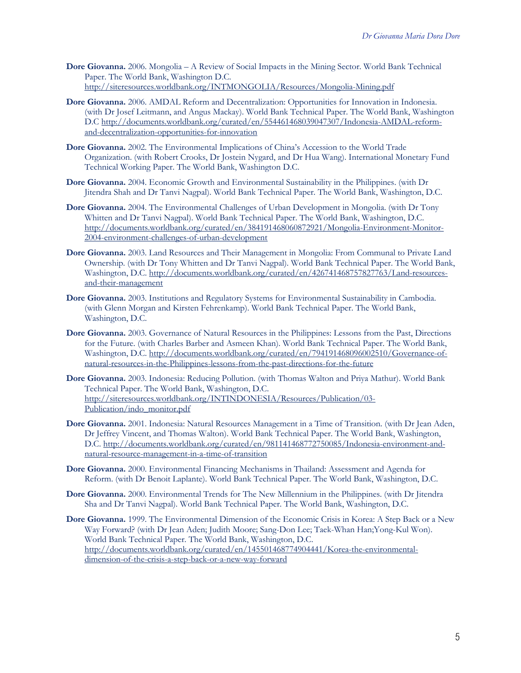- **Dore Giovanna.** 2006. Mongolia A Review of Social Impacts in the Mining Sector. World Bank Technical Paper. The World Bank, Washington D.C. http://siteresources.worldbank.org/INTMONGOLIA/Resources/Mongolia-Mining.pdf
- **Dore Giovanna.** 2006. AMDAL Reform and Decentralization: Opportunities for Innovation in Indonesia. (with Dr Josef Leitmann, and Angus Mackay). World Bank Technical Paper. The World Bank, Washington D.C http://documents.worldbank.org/curated/en/554461468039047307/Indonesia-AMDAL-reformand-decentralization-opportunities-for-innovation
- **Dore Giovanna.** 2002. The Environmental Implications of China's Accession to the World Trade Organization. (with Robert Crooks, Dr Jostein Nygard, and Dr Hua Wang). International Monetary Fund Technical Working Paper. The World Bank, Washington D.C.
- **Dore Giovanna.** 2004. Economic Growth and Environmental Sustainability in the Philippines. (with Dr Jitendra Shah and Dr Tanvi Nagpal). World Bank Technical Paper. The World Bank, Washington, D.C.
- **Dore Giovanna.** 2004. The Environmental Challenges of Urban Development in Mongolia. (with Dr Tony Whitten and Dr Tanvi Nagpal). World Bank Technical Paper. The World Bank, Washington, D.C. http://documents.worldbank.org/curated/en/384191468060872921/Mongolia-Environment-Monitor-2004-environment-challenges-of-urban-development
- **Dore Giovanna.** 2003. Land Resources and Their Management in Mongolia: From Communal to Private Land Ownership. (with Dr Tony Whitten and Dr Tanvi Nagpal). World Bank Technical Paper. The World Bank, Washington, D.C. http://documents.worldbank.org/curated/en/426741468757827763/Land-resourcesand-their-management
- **Dore Giovanna.** 2003. Institutions and Regulatory Systems for Environmental Sustainability in Cambodia. (with Glenn Morgan and Kirsten Fehrenkamp). World Bank Technical Paper. The World Bank, Washington, D.C.
- **Dore Giovanna.** 2003. Governance of Natural Resources in the Philippines: Lessons from the Past, Directions for the Future. (with Charles Barber and Asmeen Khan). World Bank Technical Paper. The World Bank, Washington, D.C. http://documents.worldbank.org/curated/en/794191468096002510/Governance-ofnatural-resources-in-the-Philippines-lessons-from-the-past-directions-for-the-future
- **Dore Giovanna.** 2003. Indonesia: Reducing Pollution. (with Thomas Walton and Priya Mathur). World Bank Technical Paper. The World Bank, Washington, D.C. http://siteresources.worldbank.org/INTINDONESIA/Resources/Publication/03- Publication/indo\_monitor.pdf
- **Dore Giovanna.** 2001. Indonesia: Natural Resources Management in a Time of Transition. (with Dr Jean Aden, Dr Jeffrey Vincent, and Thomas Walton). World Bank Technical Paper. The World Bank, Washington, D.C. http://documents.worldbank.org/curated/en/981141468772750085/Indonesia-environment-andnatural-resource-management-in-a-time-of-transition
- **Dore Giovanna.** 2000. Environmental Financing Mechanisms in Thailand: Assessment and Agenda for Reform. (with Dr Benoit Laplante). World Bank Technical Paper. The World Bank, Washington, D.C.
- **Dore Giovanna.** 2000. Environmental Trends for The New Millennium in the Philippines. (with Dr Jitendra Sha and Dr Tanvi Nagpal). World Bank Technical Paper. The World Bank, Washington, D.C.
- **Dore Giovanna.** 1999. The Environmental Dimension of the Economic Crisis in Korea: A Step Back or a New Way Forward? (with Dr Jean Aden; Judith Moore; Sang-Don Lee; Taek-Whan Han; Yong-Kul Won). World Bank Technical Paper. The World Bank, Washington, D.C. http://documents.worldbank.org/curated/en/145501468774904441/Korea-the-environmentaldimension-of-the-crisis-a-step-back-or-a-new-way-forward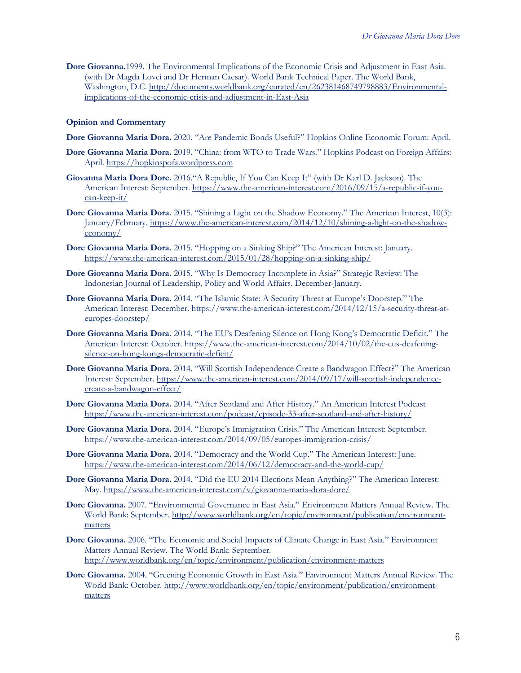**Dore Giovanna.**1999. The Environmental Implications of the Economic Crisis and Adjustment in East Asia. (with Dr Magda Lovei and Dr Herman Caesar). World Bank Technical Paper. The World Bank, Washington, D.C. http://documents.worldbank.org/curated/en/262381468749798883/Environmentalimplications-of-the-economic-crisis-and-adjustment-in-East-Asia

### **Opinion and Commentary**

- **Dore Giovanna Maria Dora.** 2020. "Are Pandemic Bonds Useful?" Hopkins Online Economic Forum: April.
- **Dore Giovanna Maria Dora.** 2019. "China: from WTO to Trade Wars." Hopkins Podcast on Foreign Affairs: April. https://hopkinspofa.wordpress.com
- **Giovanna Maria Dora Dore.** 2016."A Republic, If You Can Keep It" (with Dr Karl D. Jackson). The American Interest: September. https://www.the-american-interest.com/2016/09/15/a-republic-if-youcan-keep-it/
- **Dore Giovanna Maria Dora.** 2015. "Shining a Light on the Shadow Economy." The American Interest, 10(3): January/February. https://www.the-american-interest.com/2014/12/10/shining-a-light-on-the-shadoweconomy/
- **Dore Giovanna Maria Dora.** 2015. "Hopping on a Sinking Ship?" The American Interest: January. https://www.the-american-interest.com/2015/01/28/hopping-on-a-sinking-ship/
- **Dore Giovanna Maria Dora.** 2015. "Why Is Democracy Incomplete in Asia?" Strategic Review: The Indonesian Journal of Leadership, Policy and World Affairs. December-January.
- **Dore Giovanna Maria Dora.** 2014. "The Islamic State: A Security Threat at Europe's Doorstep." The American Interest: December. https://www.the-american-interest.com/2014/12/15/a-security-threat-ateuropes-doorstep/
- **Dore Giovanna Maria Dora.** 2014. "The EU's Deafening Silence on Hong Kong's Democratic Deficit." The American Interest: October. https://www.the-american-interest.com/2014/10/02/the-eus-deafeningsilence-on-hong-kongs-democratic-deficit/
- **Dore Giovanna Maria Dora.** 2014. "Will Scottish Independence Create a Bandwagon Effect?" The American Interest: September. https://www.the-american-interest.com/2014/09/17/will-scottish-independencecreate-a-bandwagon-effect/
- **Dore Giovanna Maria Dora.** 2014. "After Scotland and After History." An American Interest Podcast https://www.the-american-interest.com/podcast/episode-33-after-scotland-and-after-history/
- **Dore Giovanna Maria Dora.** 2014. "Europe's Immigration Crisis." The American Interest: September. https://www.the-american-interest.com/2014/09/05/europes-immigration-crisis/
- **Dore Giovanna Maria Dora.** 2014. "Democracy and the World Cup." The American Interest: June. https://www.the-american-interest.com/2014/06/12/democracy-and-the-world-cup/
- **Dore Giovanna Maria Dora.** 2014. "Did the EU 2014 Elections Mean Anything?" The American Interest: May. https://www.the-american-interest.com/v/giovanna-maria-dora-dore/
- **Dore Giovanna.** 2007. "Environmental Governance in East Asia." Environment Matters Annual Review. The World Bank: September. http://www.worldbank.org/en/topic/environment/publication/environmentmatters
- **Dore Giovanna.** 2006. "The Economic and Social Impacts of Climate Change in East Asia." Environment Matters Annual Review. The World Bank: September. http://www.worldbank.org/en/topic/environment/publication/environment-matters
- **Dore Giovanna.** 2004. "Greening Economic Growth in East Asia." Environment Matters Annual Review. The World Bank: October. http://www.worldbank.org/en/topic/environment/publication/environmentmatters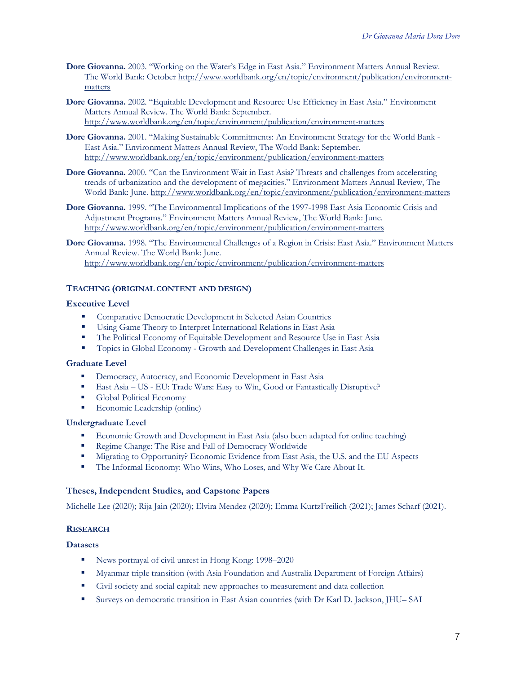- **Dore Giovanna.** 2003. "Working on the Water's Edge in East Asia." Environment Matters Annual Review. The World Bank: October http://www.worldbank.org/en/topic/environment/publication/environmentmatters
- **Dore Giovanna.** 2002. "Equitable Development and Resource Use Efficiency in East Asia." Environment Matters Annual Review. The World Bank: September. http://www.worldbank.org/en/topic/environment/publication/environment-matters
- **Dore Giovanna.** 2001. "Making Sustainable Commitments: An Environment Strategy for the World Bank East Asia." Environment Matters Annual Review, The World Bank: September. http://www.worldbank.org/en/topic/environment/publication/environment-matters
- **Dore Giovanna.** 2000. "Can the Environment Wait in East Asia? Threats and challenges from accelerating trends of urbanization and the development of megacities." Environment Matters Annual Review, The World Bank: June. http://www.worldbank.org/en/topic/environment/publication/environment-matters
- **Dore Giovanna.** 1999. "The Environmental Implications of the 1997-1998 East Asia Economic Crisis and Adjustment Programs." Environment Matters Annual Review, The World Bank: June. http://www.worldbank.org/en/topic/environment/publication/environment-matters

**Dore Giovanna.** 1998. "The Environmental Challenges of a Region in Crisis: East Asia." Environment Matters Annual Review. The World Bank: June. http://www.worldbank.org/en/topic/environment/publication/environment-matters

# **TEACHING (ORIGINAL CONTENT AND DESIGN)**

# **Executive Level**

- § Comparative Democratic Development in Selected Asian Countries
- **Using Game Theory to Interpret International Relations in East Asia**
- The Political Economy of Equitable Development and Resource Use in East Asia
- § Topics in Global Economy Growth and Development Challenges in East Asia

### **Graduate Level**

- <sup>■</sup> Democracy, Autocracy, and Economic Development in East Asia
- East Asia US EU: Trade Wars: Easy to Win, Good or Fantastically Disruptive?
- § Global Political Economy
- Economic Leadership (online)

### **Undergraduate Level**

- Economic Growth and Development in East Asia (also been adapted for online teaching)<br>■ Regime Change: The Rise and Fall of Democracy Worldwide
- § Regime Change: The Rise and Fall of Democracy Worldwide
- § Migrating to Opportunity? Economic Evidence from East Asia, the U.S. and the EU Aspects
- § The Informal Economy: Who Wins, Who Loses, and Why We Care About It.

# **Theses, Independent Studies, and Capstone Papers**

Michelle Lee (2020); Rija Jain (2020); Elvira Mendez (2020); Emma KurtzFreilich (2021); James Scharf (2021).

# **RESEARCH**

### **Datasets**

- News portrayal of civil unrest in Hong Kong: 1998–2020
- § Myanmar triple transition (with Asia Foundation and Australia Department of Foreign Affairs)
- § Civil society and social capital: new approaches to measurement and data collection
- § Surveys on democratic transition in East Asian countries (with Dr Karl D. Jackson, JHU– SAI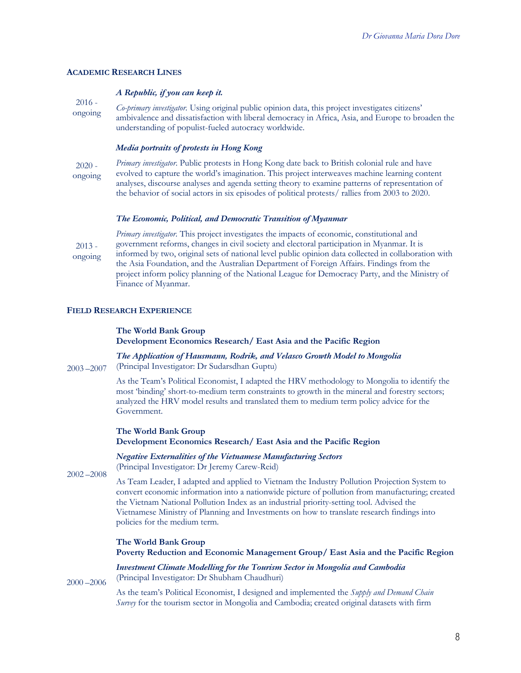### **ACADEMIC RESEARCH LINES**

### *A Republic, if you can keep it.*

2016 ongoing *Co-primary investigator.* Using original public opinion data, this project investigates citizens' ambivalence and dissatisfaction with liberal democracy in Africa, Asia, and Europe to broaden the understanding of populist-fueled autocracy worldwide.

### *Media portraits of protests in Hong Kong*

2020 ongoing *Primary investigator*. Public protests in Hong Kong date back to British colonial rule and have evolved to capture the world's imagination. This project interweaves machine learning content analyses, discourse analyses and agenda setting theory to examine patterns of representation of the behavior of social actors in six episodes of political protests/ rallies from 2003 to 2020.

#### *The Economic, Political, and Democratic Transition of Myanmar*

2013 ongoing *Primary investigator.* This project investigates the impacts of economic, constitutional and government reforms, changes in civil society and electoral participation in Myanmar. It is informed by two, original sets of national level public opinion data collected in collaboration with the Asia Foundation, and the Australian Department of Foreign Affairs. Findings from the project inform policy planning of the National League for Democracy Party, and the Ministry of Finance of Myanmar.

### **FIELD RESEARCH EXPERIENCE**

#### **The World Bank Group**

**Development Economics Research/ East Asia and the Pacific Region**

*The Application of Hausmann, Rodrik, and Velasco Growth Model to Mongolia*  (Principal Investigator: Dr Sudarsdhan Guptu)

As the Team's Political Economist, I adapted the HRV methodology to Mongolia to identify the most 'binding' short-to-medium term constraints to growth in the mineral and forestry sectors; analyzed the HRV model results and translated them to medium term policy advice for the Government.

#### **The World Bank Group Development Economics Research/ East Asia and the Pacific Region**

*Negative Externalities of the Vietnamese Manufacturing Sectors*  (Principal Investigator: Dr Jeremy Carew-Reid)

2002 –2008

2000 –2006

2003 –2007

As Team Leader, I adapted and applied to Vietnam the Industry Pollution Projection System to convert economic information into a nationwide picture of pollution from manufacturing; created the Vietnam National Pollution Index as an industrial priority-setting tool. Advised the Vietnamese Ministry of Planning and Investments on how to translate research findings into policies for the medium term.

### **The World Bank Group**

**Poverty Reduction and Economic Management Group/ East Asia and the Pacific Region**

*Investment Climate Modelling for the Tourism Sector in Mongolia and Cambodia* (Principal Investigator: Dr Shubham Chaudhuri)

As the team's Political Economist, I designed and implemented the *Supply and Demand Chain Survey* for the tourism sector in Mongolia and Cambodia; created original datasets with firm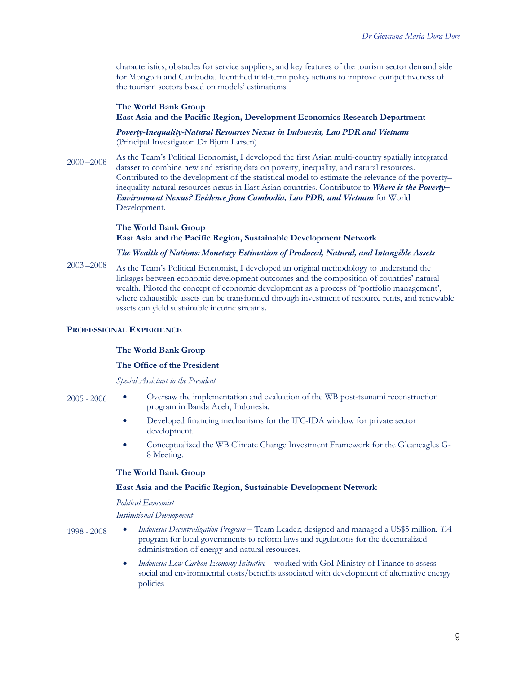characteristics, obstacles for service suppliers, and key features of the tourism sector demand side for Mongolia and Cambodia. Identified mid-term policy actions to improve competitiveness of the tourism sectors based on models' estimations.

#### **The World Bank Group East Asia and the Pacific Region, Development Economics Research Department**

*Poverty-Inequality-Natural Resources Nexus in Indonesia, Lao PDR and Vietnam* (Principal Investigator: Dr Bjorn Larsen)

2000 –2008 As the Team's Political Economist, I developed the first Asian multi-country spatially integrated dataset to combine new and existing data on poverty, inequality, and natural resources. Contributed to the development of the statistical model to estimate the relevance of the poverty– inequality-natural resources nexus in East Asian countries. Contributor to *Where is the Poverty– Environment Nexus? Evidence from Cambodia, Lao PDR, and Vietnam* for World Development.

### **The World Bank Group East Asia and the Pacific Region, Sustainable Development Network**

#### *The Wealth of Nations: Monetary Estimation of Produced, Natural, and Intangible Assets*

2003 –2008 As the Team's Political Economist, I developed an original methodology to understand the linkages between economic development outcomes and the composition of countries' natural wealth. Piloted the concept of economic development as a process of 'portfolio management', where exhaustible assets can be transformed through investment of resource rents, and renewable assets can yield sustainable income streams**.**

### **PROFESSIONAL EXPERIENCE**

### **The World Bank Group**

#### **The Office of the President**

*Special Assistant to the President*

- 2005 2006
- Oversaw the implementation and evaluation of the WB post-tsunami reconstruction program in Banda Aceh, Indonesia.
- Developed financing mechanisms for the IFC-IDA window for private sector development.
- Conceptualized the WB Climate Change Investment Framework for the Gleaneagles G-8 Meeting.

### **The World Bank Group**

### **East Asia and the Pacific Region, Sustainable Development Network**

*Political Economist* 

#### *Institutional Development*

- 1998 2008 • *Indonesia Decentralization Program* – Team Leader; designed and managed a US\$5 million, *TA* program for local governments to reform laws and regulations for the decentralized administration of energy and natural resources.
	- *Indonesia Low Carbon Economy Initiative* worked with GoI Ministry of Finance to assess social and environmental costs/benefits associated with development of alternative energy policies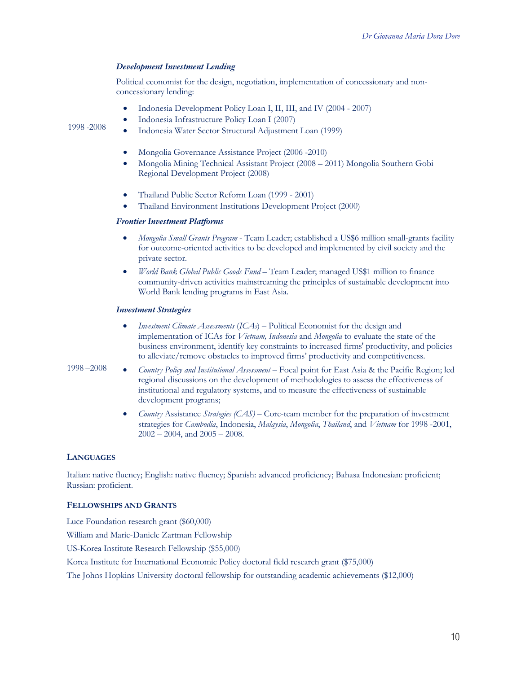# *Development Investment Lending*

Political economist for the design, negotiation, implementation of concessionary and nonconcessionary lending:

- Indonesia Development Policy Loan I, II, III, and IV (2004 2007)
- Indonesia Infrastructure Policy Loan I (2007)

1998 -2008

- Indonesia Water Sector Structural Adjustment Loan (1999)
- Mongolia Governance Assistance Project (2006 -2010)
- Mongolia Mining Technical Assistant Project (2008 2011) Mongolia Southern Gobi Regional Development Project (2008)
- Thailand Public Sector Reform Loan (1999 2001)
- Thailand Environment Institutions Development Project (2000)

#### *Frontier Investment Platforms*

- *Mongolia Small Grants Program* Team Leader; established a US\$6 million small-grants facility for outcome-oriented activities to be developed and implemented by civil society and the private sector.
- *World Bank Global Public Goods Fund* Team Leader; managed US\$1 million to finance community-driven activities mainstreaming the principles of sustainable development into World Bank lending programs in East Asia.

#### *Investment Strategies*

- *Investment Climate Assessments* (*ICAs*) Political Economist for the design and implementation of ICAs for *Vietnam, Indonesia* and *Mongolia* to evaluate the state of the business environment, identify key constraints to increased firms' productivity, and policies to alleviate/remove obstacles to improved firms' productivity and competitiveness.
- 1998 –2008
	- *Country Policy and Institutional Assessment* Focal point for East Asia & the Pacific Region; led regional discussions on the development of methodologies to assess the effectiveness of institutional and regulatory systems, and to measure the effectiveness of sustainable development programs;
		- *Country* Assistance *Strategies (CAS)*  Core-team member for the preparation of investment strategies for *Cambodia*, Indonesia, *Malaysia*, *Mongolia*, *Thailand*, and *Vietnam* for 1998 -2001, 2002 – 2004, and 2005 – 2008.

### **LANGUAGES**

Italian: native fluency; English: native fluency; Spanish: advanced proficiency; Bahasa Indonesian: proficient; Russian: proficient.

### **FELLOWSHIPS AND GRANTS**

Luce Foundation research grant (\$60,000) William and Marie-Daniele Zartman Fellowship US-Korea Institute Research Fellowship (\$55,000) Korea Institute for International Economic Policy doctoral field research grant (\$75,000) The Johns Hopkins University doctoral fellowship for outstanding academic achievements (\$12,000)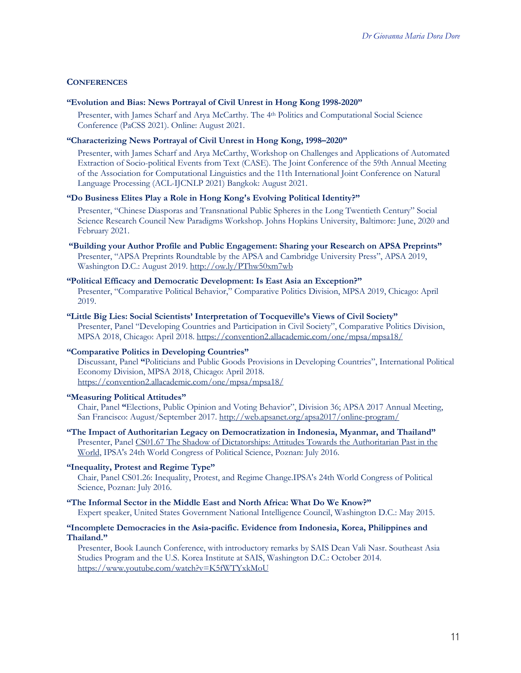### **CONFERENCES**

### **"Evolution and Bias: News Portrayal of Civil Unrest in Hong Kong 1998-2020"**

Presenter, with James Scharf and Arya McCarthy. The 4th Politics and Computational Social Science Conference (PaCSS 2021). Online: August 2021.

### **"Characterizing News Portrayal of Civil Unrest in Hong Kong, 1998–2020"**

Presenter, with James Scharf and Arya McCarthy, Workshop on Challenges and Applications of Automated Extraction of Socio-political Events from Text (CASE). The Joint Conference of the 59th Annual Meeting of the Association for Computational Linguistics and the 11th International Joint Conference on Natural Language Processing (ACL-IJCNLP 2021) Bangkok: August 2021.

### **"Do Business Elites Play a Role in Hong Kong's Evolving Political Identity?"**

Presenter, "Chinese Diasporas and Transnational Public Spheres in the Long Twentieth Century" Social Science Research Council New Paradigms Workshop. Johns Hopkins University, Baltimore: June, 2020 and February 2021.

### **"Building your Author Profile and Public Engagement: Sharing your Research on APSA Preprints"** Presenter, "APSA Preprints Roundtable by the APSA and Cambridge University Press", APSA 2019, Washington D.C.: August 2019. http://ow.ly/PThw50xm7wb

### **"Political Efficacy and Democratic Development: Is East Asia an Exception?"**

Presenter, "Comparative Political Behavior," Comparative Politics Division, MPSA 2019, Chicago: April 2019.

# **"Little Big Lies: Social Scientists' Interpretation of Tocqueville's Views of Civil Society"** Presenter, Panel "Developing Countries and Participation in Civil Society", Comparative Politics Division,

MPSA 2018, Chicago: April 2018. https://convention2.allacademic.com/one/mpsa/mpsa18/

#### **"Comparative Politics in Developing Countries"**

Discussant, Panel **"**Politicians and Public Goods Provisions in Developing Countries", International Political Economy Division, MPSA 2018, Chicago: April 2018. https://convention2.allacademic.com/one/mpsa/mpsa18/

### **"Measuring Political Attitudes"**

Chair, Panel **"**Elections, Public Opinion and Voting Behavior", Division 36; APSA 2017 Annual Meeting, San Francisco: August/September 2017. http://web.apsanet.org/apsa2017/online-program/

### **"The Impact of Authoritarian Legacy on Democratization in Indonesia, Myanmar, and Thailand"**  Presenter, Panel CS01.67 The Shadow of Dictatorships: Attitudes Towards the Authoritarian Past in the World, IPSA's 24th World Congress of Political Science, Poznan: July 2016.

# **"Inequality, Protest and Regime Type"**

Chair, Panel CS01.26: Inequality, Protest, and Regime Change.IPSA's 24th World Congress of Political Science, Poznan: July 2016.

### **"The Informal Sector in the Middle East and North Africa: What Do We Know?"**

Expert speaker, United States Government National Intelligence Council, Washington D.C.: May 2015.

### **"Incomplete Democracies in the Asia-pacific. Evidence from Indonesia, Korea, Philippines and Thailand."**

Presenter, Book Launch Conference, with introductory remarks by SAIS Dean Vali Nasr. Southeast Asia Studies Program and the U.S. Korea Institute at SAIS, Washington D.C.: October 2014. https://www.youtube.com/watch?v=K5fWTYxkMoU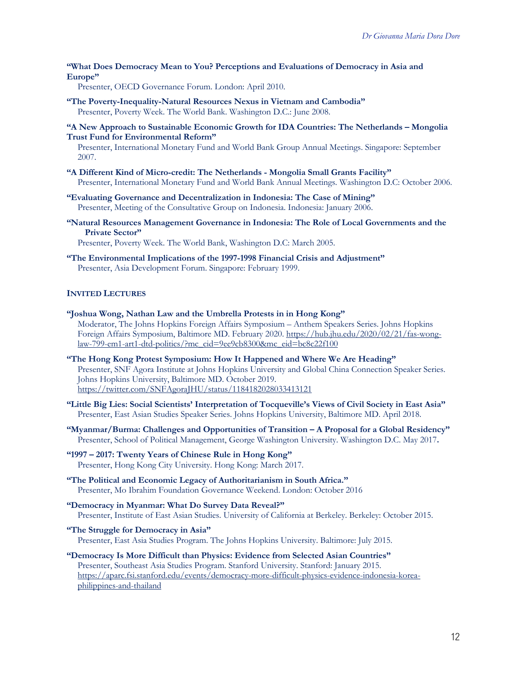**"What Does Democracy Mean to You? Perceptions and Evaluations of Democracy in Asia and Europe"**

Presenter, OECD Governance Forum. London: April 2010.

- **"The Poverty-Inequality-Natural Resources Nexus in Vietnam and Cambodia"** Presenter, Poverty Week. The World Bank. Washington D.C.: June 2008.
- **"A New Approach to Sustainable Economic Growth for IDA Countries: The Netherlands – Mongolia Trust Fund for Environmental Reform"**

Presenter, International Monetary Fund and World Bank Group Annual Meetings. Singapore: September 2007.

- **"A Different Kind of Micro-credit: The Netherlands - Mongolia Small Grants Facility"** Presenter, International Monetary Fund and World Bank Annual Meetings. Washington D.C: October 2006.
- **"Evaluating Governance and Decentralization in Indonesia: The Case of Mining"** Presenter, Meeting of the Consultative Group on Indonesia. Indonesia: January 2006.
- **"Natural Resources Management Governance in Indonesia: The Role of Local Governments and the Private Sector"**

Presenter, Poverty Week. The World Bank, Washington D.C: March 2005.

**"The Environmental Implications of the 1997-1998 Financial Crisis and Adjustment"** Presenter, Asia Development Forum. Singapore: February 1999.

### **INVITED LECTURES**

- **"Joshua Wong, Nathan Law and the Umbrella Protests in in Hong Kong"** Moderator, The Johns Hopkins Foreign Affairs Symposium – Anthem Speakers Series. Johns Hopkins Foreign Affairs Symposium, Baltimore MD. February 2020. https://hub.jhu.edu/2020/02/21/fas-wonglaw-799-em1-art1-dtd-politics/?mc\_cid=9ee9cb8300&mc\_eid=bc8c22f100
- **"The Hong Kong Protest Symposium: How It Happened and Where We Are Heading"** Presenter, SNF Agora Institute at Johns Hopkins University and Global China Connection Speaker Series. Johns Hopkins University, Baltimore MD. October 2019. https://twitter.com/SNFAgoraJHU/status/1184182028033413121
- **"Little Big Lies: Social Scientists' Interpretation of Tocqueville's Views of Civil Society in East Asia"** Presenter, East Asian Studies Speaker Series. Johns Hopkins University, Baltimore MD. April 2018.
- **"Myanmar/Burma: Challenges and Opportunities of Transition – A Proposal for a Global Residency"**  Presenter, School of Political Management, George Washington University. Washington D.C. May 2017**.**
- **"1997 – 2017: Twenty Years of Chinese Rule in Hong Kong"** Presenter, Hong Kong City University. Hong Kong: March 2017.
- **"The Political and Economic Legacy of Authoritarianism in South Africa."** Presenter, Mo Ibrahim Foundation Governance Weekend. London: October 2016
- **"Democracy in Myanmar: What Do Survey Data Reveal?"** Presenter, Institute of East Asian Studies. University of California at Berkeley. Berkeley: October 2015.
- **"The Struggle for Democracy in Asia"** Presenter, East Asia Studies Program. The Johns Hopkins University. Baltimore: July 2015.
- **"Democracy Is More Difficult than Physics: Evidence from Selected Asian Countries"** Presenter, Southeast Asia Studies Program. Stanford University. Stanford: January 2015. https://aparc.fsi.stanford.edu/events/democracy-more-difficult-physics-evidence-indonesia-koreaphilippines-and-thailand